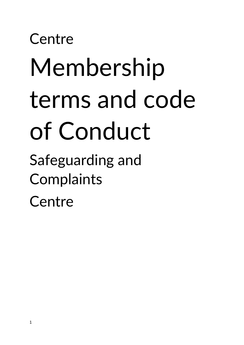# **Centre** Membership terms and code of Conduct

Safeguarding and Complaints **Centre**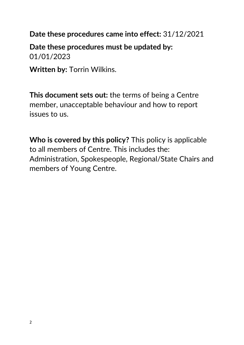**Date these procedures came into effect:** 31/12/2021

**Date these procedures must be updated by:** 01/01/2023

**Written by:** Torrin Wilkins.

**This document sets out:** the terms of being a Centre member, unacceptable behaviour and how to report issues to us.

**Who is covered by this policy?** This policy is applicable to all members of Centre. This includes the: Administration, Spokespeople, Regional/State Chairs and members of Young Centre.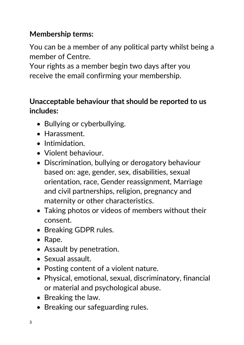# **Membership terms:**

You can be a member of any political party whilst being a member of Centre.

Your rights as a member begin two days after you receive the email confirming your membership.

### **Unacceptable behaviour that should be reported to us includes:**

- Bullying or cyberbullying.
- Harassment.
- Intimidation.
- Violent behaviour.
- Discrimination, bullying or derogatory behaviour based on: age, gender, sex, disabilities, sexual orientation, race, Gender reassignment, Marriage and civil partnerships, religion, pregnancy and maternity or other characteristics.
- Taking photos or videos of members without their consent.
- Breaking GDPR rules.
- Rape.
- Assault by penetration.
- Sexual assault.
- Posting content of a violent nature.
- Physical, emotional, sexual, discriminatory, financial or material and psychological abuse.
- Breaking the law.
- Breaking our safeguarding rules.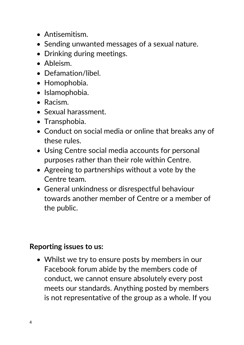- Antisemitism.
- Sending unwanted messages of a sexual nature.
- Drinking during meetings.
- Ableism.
- Defamation/libel.
- Homophobia.
- Islamophobia.
- Racism.
- Sexual harassment.
- Transphobia.
- Conduct on social media or online that breaks any of these rules.
- Using Centre social media accounts for personal purposes rather than their role within Centre.
- Agreeing to partnerships without a vote by the Centre team.
- General unkindness or disrespectful behaviour towards another member of Centre or a member of the public.

#### **Reporting issues to us:**

• Whilst we try to ensure posts by members in our Facebook forum abide by the members code of conduct, we cannot ensure absolutely every post meets our standards. Anything posted by members is not representative of the group as a whole. If you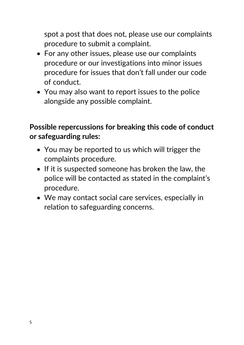spot a post that does not, please use our complaints procedure to submit a complaint.

- For any other issues, please use our complaints procedure or our investigations into minor issues procedure for issues that don't fall under our code of conduct.
- You may also want to report issues to the police alongside any possible complaint.

# **Possible repercussions for breaking this code of conduct or safeguarding rules:**

- You may be reported to us which will trigger the complaints procedure.
- If it is suspected someone has broken the law, the police will be contacted as stated in the complaint's procedure.
- We may contact social care services, especially in relation to safeguarding concerns.